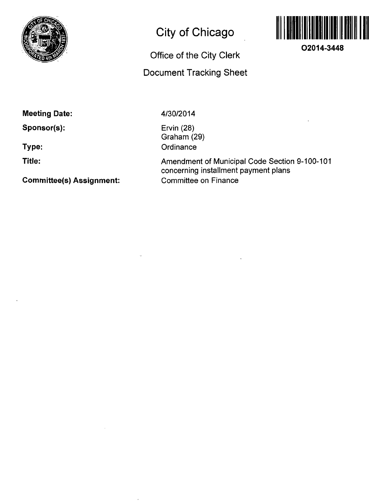

# **City of Chicago**

# **Office of the City Clerk Document Tracking Sheet**



**O2014-3448** 

**Meeting Date:** 

**Sponsor(s):** 

**Type:** 

**Title:** 

**Committee(s) Assignment:** 

4/30/2014

Ervin (28) Graham (29) **Ordinance** 

Amendment of Municipal Code Section 9-100-101 concerning installment payment plans Committee on Finance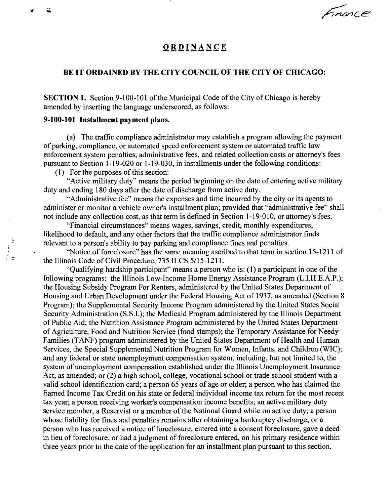Encorce

### **ORDINANC E**

### **BE IT ORDAINED BY THE CITY COUNCIL OF THE CITY OF CHICAGO:**

SECTION 1. Section 9-100-101 of the Municipal Code of the City of Chicago is hereby amended by inserting the language underscored, as follows:

#### **9-100-101 Installment payment plans.**

(a) The traffic compliance administrator may establish a program allowing the payment of parking, compliance, or automated speed enforcement system or automated traffic law enforcement system penalties, administrative fees, and related collection costs or attomey's fees pursuant to Section 1-19-020 or 1-19-030, in installments under the following conditions:

(1) For the purposes of this section:

"Active military duty" means the period beginning on the date of entering active military duty and ending 180 days after the date of discharge from active duty.

"Administrative fee" means the expenses and time incurred by the city or its agents to administer or monitor a vehicle owner's installment plan; provided that "administrative fee" shall not include any collection cost, as that term is defined in Section 1-19-010, or attomey's fees.

"Financial circumstances" means wages, savings, credit, monthly expenditures, likelihood to default, and any other factors that the traffic compliance administrator finds relevant to a person's ability to pay parking and compliance fines and penalties.

"Notice of foreclosure" has the same meaning ascribed to that term in section 15-1211 of the Illinois Code of Civil Procedure, 735 ILCS 5/15-1211.

"Qualifying hardship participant" means a person who is: (1) a participant in one of the following programs: the Illinois Low-Income Home Energy Assistance Program (L.I.H.E.A.P.); the Housing Subsidy Program For Renters, administered by the United States Department of Housing and Urban Development under the Federal Housing Act of 1937, as amended (Section 8 Program); the Supplemental Security Income Program administered by the United States Social Security Administration (S.S.I.); the Medicaid Program administered by the Illinois Department of Public Aid; the Nutrition Assistance Program administered by the United States Department of Agriculture, Food and Nutrition Service (food stamps); the Temporary Assistance for Needy Families (TANF) program administered by the United States Department of Health and Human Services, the Special Supplemental Nutrition Program for Women, Infants, and Children (WIC); and any federal or state unemployment compensation system, including, but not limited to, the system of unemployment compensation established under the Illinois Unemployment Insurance Act, as amended; or (2) a high school, college, vocational school or trade school student with a valid school identification card; a person 65 years of age or older; a person who has claimed the Eamed Income Tax Credit on his state or federal individual income tax retum for the most recent tax year; a person receiving worker's compensation income benefits; an active military duty service member, a Reservist or a member of the National Guard while on active duty; a person whose liability for fines and penalties remains after obtaining a bankruptcy discharge; or a person who has received a notice of foreclosure, entered into a consent foreclosure, gave a deed in lieu of foreclosure, or had a judgment of foreclosure entered, on his primary residence within three years prior to the date of the application for an installment plan pursuant to this section.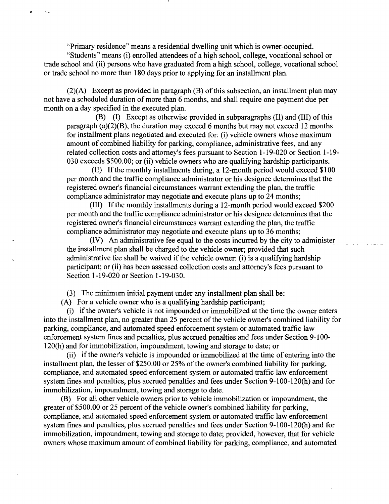"Primary residence" means a residential dwelling unit which is owner-occupied. "Students" means (i) enrolled attendees of a high school, college, vocational school or trade school and (ii) persons who have graduated from a high school, college, vocational school or trade school no more than 180 days prior to applying for an installment plan.

 $(2)(A)$  Except as provided in paragraph  $(B)$  of this subsection, an installment plan may not have a scheduled duration of more than 6 months, and shall require one payment due per month on a day specified in the executed plan.

(B) (I) Except as otherwise provided in subparagraphs (II) and (III) of this paragraph  $(a)(2)(B)$ , the duration may exceed 6 months but may not exceed 12 months for installment plans negotiated and executed for: (i) vehicle owners whose maximum amount of combined liability for parking, compliance, administrative fees, and any related collection costs and attomey's fees pursuant to Section 1-19-020 or Section 1-19- 030 exceeds \$500.00; or (ii) vehicle owners who are qualifying hardship participants.

(II) Ifthe monthly installments during, a 12-month period would exceed \$100 per month and the traffic compliance administrator or his designee determines that the registered owner's financial circumstances warrant extending the plan, the traffic compliance administrator may negotiate and execute plans up to 24 months;

(III) If the monthly installments during a 12-month period would exceed \$200 per month and the traffic compliance administrator or his designee determines that the registered owner's fmancial circumstances warrant extending the plan, the traffic compliance administrator may negotiate and execute plans up to 36 months;

(IV) An administrative fee equal to the costs incurred by the city to administer the installment plan shall be charged to the vehicle owner; provided that such administrative fee shall be waived if the vehicle owner: (i) is a qualifying hardship participant; or (ii) has been assessed collection costs and attomey's fees pursuant to Section 1-19-020 or Section 1-19-030.

(3) The minimum initial payment under any installment plan shall be:

(A) For a vehicle owner who is a qualifying hardship participant;

(i) ifthe owner's vehicle is not impounded or immobilized at the time the owner enters into the installment plan, no greater than 25 percent of the vehicle owner's combined liability for parking, compliance, and automated speed enforcement system or automated traffic law enforcement system fines and penalties, plus accrued penalties and fees under Section 9-100-120(h) and for immobilization, impoundment, towing and storage to date; or

(ii) ifthe owner's vehicle is impounded or immobilized at the time of entering into the installment plan, the lesser of  $$250.00$  or  $25\%$  of the owner's combined liability for parking, compliance, and automated speed enforcement system or automated traffic law enforcement system fines and penalties, plus accrued penalties and fees under Section 9-100-120(h) and for immobilization, impoundment, towing and storage to date.

(B) For all other vehicle owners prior to vehicle immobilization or impoundment, the greater of \$500.00 or 25 percent of the vehicle owner's combined liability for parking, compliance, and automated speed enforcement system or automated traffic law enforcement system fines and penalties, plus accrued penalties and fees under Section 9-100-120(h) and for immobilization, impoundment, towing and storage to date; provided, however, that for vehicle owners whose maximum amount of combined liability for parking, compliance, and automated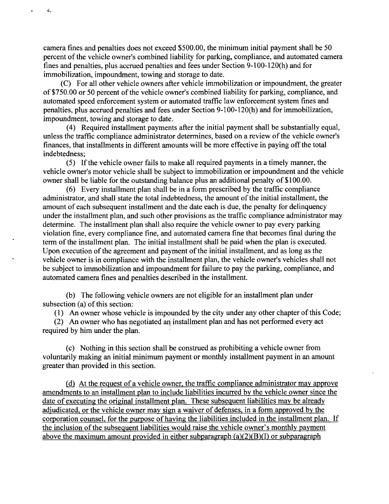camera fines and penalties does not exceed \$500.00, the minimum initial payment shall be 50 percent of the vehicle owner's combined liability for parking, compliance, and automated camera fines and penalties, plus accrued penalties and fees under Section 9-100-120(h) and for immobilization, impoundment, towing and storage to date.

 $\mathcal{Z}_2$ 

 $\ddot{\phantom{a}}$ 

(C) For all other vehicle owners after vehicle immobilization or impoundment, the greater of \$750.00 or 50 percent of the vehicle owner's combined liability for parking, compliance, and automated speed enforcement system or automated traffic law enforcement system fines and penalties, plus accrued penalties and fees under Section 9-100-120(h) and for immobilization, impoundment, towing and storage to date.

(4) Required installment payments after the initial payment shall be substantially equal, unless the traffic compliance administrator determines, based on a review of the vehicle owner's finances, that installments in different amounts will be more effective in paying off the total indebtedness;

(5) If the vehicle owner fails to make all required payments in a timely manner, the vehicle owner's motor vehicle shall be subject to immobilization or impoundment and the vehicle owner shall be liable for the outstanding balance plus an additional penalty of \$100.00.

(6) Every installment plan shall be in a form prescribed by the traffic compliance administrator, and shall state the total indebtedness, the amount of the initial installment, the amount of each subsequent installment and the date each is due, the penalty for delinquency under the installment plan, and such other provisions as the traffic compliance administrator may determine. The installment plan shall also require the vehicle ovmer to pay every parking violation fine, every compliance fine, and automated camera fine that becomes final during the term of the installment plan. The initial installment shall be paid when the plan is executed. Upon execution of the agreement and payment of the initial installment, and as long as the vehicle owner is in compliance with the installment plan, the vehicle owner's vehicles shall not be subject to immobilization and impoundment for failure to pay the parking, compliance, and automated camera fines and penalties described in the installment.

(b) The following vehicle owners are not eligible for an installment plan under subsection (a) of this section:

(1) An owner whose vehicle is impounded by the city under any other chapter of this Code;

(2) An owner who has negotiated ari installment plan and has not performed every act required by him under the plan.

(c) Nothing in this section shall be constmed as prohibiting a vehicle owner from voluntarily making an initial minimum payment or monthly installment payment in an amount greater than provided in this section.

(d) At the request of a vehicle ovmer, the traffic compliance administrator mav approve amendments to an installment plan to include liabilities incurred bv the vehicle owner since the date of executing the original installment plan. These subsequent liabilities may be already adjudicated, or the vehicle owner may sign a waiver of defenses, in a form approved by the corporation counsel, for the purpose of having the liabilities included in the installment plan. If the inclusion of the subsequent liabilities would raise the vehicle owner's monthly payment above the maximum amount provided in either subparagraph  $(a)(2)(B)(I)$  or subparagraph